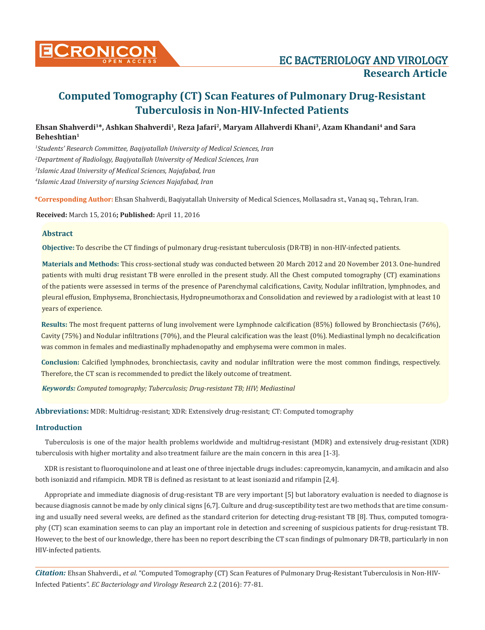

# **Computed Tomography (CT) Scan Features of Pulmonary Drug-Resistant Tuberculosis in Non-HIV-Infected Patients**

**Ehsan Shahverdi1\*, Ashkan Shahverdi1, Reza Jafari2, Maryam Allahverdi Khani3, Azam Khandani4 and Sara Beheshtian1**

 *Students' Research Committee, Baqiyatallah University of Medical Sciences, Iran Department of Radiology, Baqiyatallah University of Medical Sciences, Iran Islamic Azad University of Medical Sciences, Najafabad, Iran Islamic Azad University of nursing Sciences Najafabad, Iran*

**\*Corresponding Author:** Ehsan Shahverdi, Baqiyatallah University of Medical Sciences, Mollasadra st., Vanaq sq., Tehran, Iran.

**Received:** March 15, 2016**; Published:** April 11, 2016

#### **Abstract**

**Objective:** To describe the CT findings of pulmonary drug-resistant tuberculosis (DR-TB) in non-HIV-infected patients.

**Materials and Methods:** This cross-sectional study was conducted between 20 March 2012 and 20 November 2013. One-hundred patients with multi drug resistant TB were enrolled in the present study. All the Chest computed tomography (CT) examinations of the patients were assessed in terms of the presence of Parenchymal calcifications, Cavity, Nodular infiltration, lymphnodes, and pleural effusion, Emphysema, Bronchiectasis, Hydropneumothorax and Consolidation and reviewed by a radiologist with at least 10 years of experience.

**Results:** The most frequent patterns of lung involvement were Lymphnode calcification (85%) followed by Bronchiectasis (76%), Cavity (75%) and Nodular infiltrations (70%), and the Pleural calcification was the least (0%). Mediastinal lymph no decalcification was common in females and mediastinally mphadenopathy and emphysema were common in males.

**Conclusion:** Calcified lymphnodes, bronchiectasis, cavity and nodular infiltration were the most common findings, respectively. Therefore, the CT scan is recommended to predict the likely outcome of treatment.

*Keywords: Computed tomography; Tuberculosis; Drug-resistant TB; HIV; Mediastinal*

**Abbreviations:** MDR: Multidrug-resistant; XDR: Extensively drug-resistant; CT: Computed tomography

#### **Introduction**

Tuberculosis is one of the major health problems worldwide and multidrug-resistant (MDR) and extensively drug-resistant (XDR) tuberculosis with higher mortality and also treatment failure are the main concern in this area [1-3].

XDR is resistant to fluoroquinolone and at least one of three injectable drugs includes: capreomycin, kanamycin, and amikacin and also both isoniazid and rifampicin. MDR TB is defined as resistant to at least isoniazid and rifampin [2,4].

Appropriate and immediate diagnosis of drug-resistant TB are very important [5] but laboratory evaluation is needed to diagnose is because diagnosis cannot be made by only clinical signs [6,7]. Culture and drug-susceptibility test are two methods that are time consuming and usually need several weeks, are defined as the standard criterion for detecting drug-resistant TB [8]. Thus, computed tomography (CT) scan examination seems to can play an important role in detection and screening of suspicious patients for drug-resistant TB. However, to the best of our knowledge, there has been no report describing the CT scan findings of pulmonary DR-TB, particularly in non HIV-infected patients.

*Citation:* Ehsan Shahverdi., *et al.* "Computed Tomography (CT) Scan Features of Pulmonary Drug-Resistant Tuberculosis in Non-HIV-Infected Patients". *EC Bacteriology and Virology Research* 2.2 (2016): 77-81.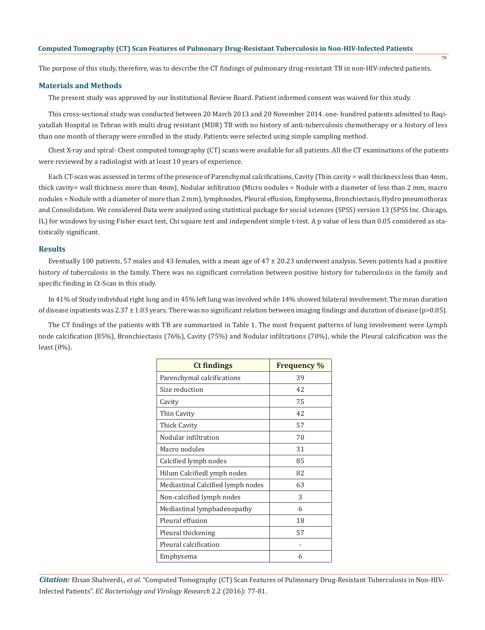The purpose of this study, therefore, was to describe the CT findings of pulmonary drug-resistant TB in non-HIV-infected patients.

#### **Materials and Methods**

The present study was approved by our Institutional Review Board. Patient informed consent was waived for this study.

This cross-sectional study was conducted between 20 March 2013 and 20 November 2014. one- hundred patients admitted to Baqiyatallah Hospital in Tehran with multi drug resistant (MDR) TB with no history of anti-tuberculosis chemotherapy or a history of less than one month of therapy were enrolled in the study. Patients were selected using simple sampling method.

Chest X-ray and spiral- Chest computed tomography (CT) scans were available for all patients. All the CT examinations of the patients were reviewed by a radiologist with at least 10 years of experience.

Each CT-scan was assessed in terms of the presence of Parenchymal calcifications, Cavity (Thin cavity = wall thickness less than 4mm, thick cavity= wall thickness more than 4mm), Nodular infiltration (Micro nodules = Nodule with a diameter of less than 2 mm, macro nodules = Nodule with a diameter of more than 2 mm), lymphnodes, Pleural effusion, Emphysema, Bronchiectasis, Hydro pneumothorax and Consolidation. We considered Data were analyzed using statistical package for social sciences (SPSS) version 13 (SPSS Inc. Chicago, IL) for windows by using Fisher exact test, Chi square test and independent simple t-test. A p value of less than 0.05 considered as statistically significant.

#### **Results**

Eventually 100 patients, 57 males and 43 females, with a mean age of  $47 \pm 20.23$  underwent analysis. Seven patients had a positive history of tuberculosis in the family. There was no significant correlation between positive history for tuberculosis in the family and specific finding in Ct-Scan in this study.

In 41% of Study individual right lung and in 45% left lung was involved while 14% showed bilateral involvement. The mean duration of disease inpatients was  $2.37 \pm 1.03$  years. There was no significant relation between imaging findings and duration of disease (p>0.05).

The CT findings of the patients with TB are summarized in Table 1. The most frequent patterns of lung involvement were Lymph node calcification (85%), Bronchiectasis (76%), Cavity (75%) and Nodular infiltrations (70%), while the Pleural calcification was the least (0%).

| <b>Ct findings</b>                | <b>Frequency</b> % |
|-----------------------------------|--------------------|
| Parenchymal calcifications        | 39                 |
| Size reduction                    | 42                 |
| Cavity                            | 75                 |
| Thin Cavity                       | 42                 |
| Thick Cavity                      | 57                 |
| Nodular infiltration              | 70                 |
| Macro nodules                     | 31                 |
| Calcified lymph nodes             | 85                 |
| Hilum Calcifiedl ymph nodes       | 82                 |
| Mediastinal Calcified lymph nodes | 63                 |
| Non-calcified lymph nodes         | 3                  |
| Mediastinal lymphadenopathy       | 6                  |
| Pleural effusion                  | 18                 |
| Pleural thickening                | 57                 |
| Pleural calcification             |                    |
| Emphysema                         | 6                  |

*Citation:* Ehsan Shahverdi., *et al.* "Computed Tomography (CT) Scan Features of Pulmonary Drug-Resistant Tuberculosis in Non-HIV-Infected Patients". *EC Bacteriology and Virology Research* 2.2 (2016): 77-81.

 $78$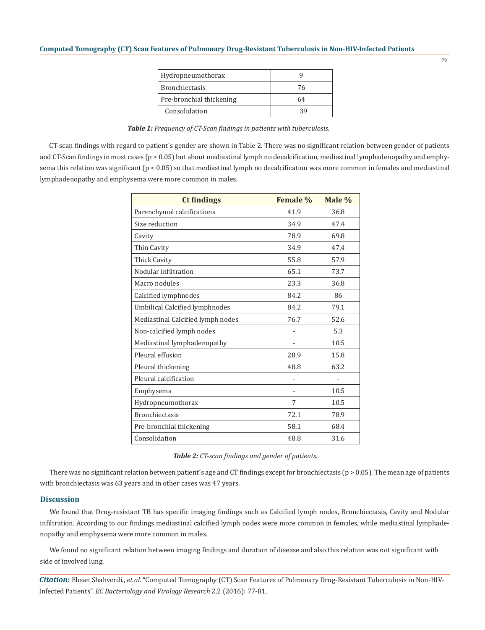| Hydropneumothorax        |    |
|--------------------------|----|
| <b>Bronchiectasis</b>    | 76 |
| Pre-bronchial thickening | 64 |
| Consolidation            | 39 |

| Table 1: Frequency of CT-Scan findings in patients with tuberculosis. |  |  |
|-----------------------------------------------------------------------|--|--|
|-----------------------------------------------------------------------|--|--|

CT-scan findings with regard to patient´s gender are shown in Table 2. There was no significant relation between gender of patients and CT-Scan findings in most cases ( $p > 0.05$ ) but about mediastinal lymph no decalcification, mediastinal lymphadenopathy and emphysema this relation was significant  $(p < 0.05)$  so that mediastinal lymph no decalcification was more common in females and mediastinal lymphadenopathy and emphysema were more common in males.

| <b>Ct findings</b>                    | <b>Female %</b> | Male %         |
|---------------------------------------|-----------------|----------------|
| Parenchymal calcifications            | 41.9            | 36.8           |
| Size reduction                        | 34.9            | 47.4           |
| Cavity                                | 78.9            | 69.8           |
| Thin Cavity                           | 34.9            | 47.4           |
| <b>Thick Cavity</b>                   | 55.8            | 57.9           |
| Nodular infiltration                  | 65.1            | 73.7           |
| Macro nodules                         | 23.3            | 36.8           |
| Calcified lymphnodes                  | 84.2            | 86             |
| <b>Umbilical Calcified lymphnodes</b> | 84.2            | 79.1           |
| Mediastinal Calcified lymph nodes     | 76.7            | 52.6           |
| Non-calcified lymph nodes             |                 | 5.3            |
| Mediastinal lymphadenopathy           |                 | 10.5           |
| Pleural effusion                      | 20.9            | 15.8           |
| Pleural thickening                    | 48.8            | 63.2           |
| Pleural calcification                 |                 | $\overline{a}$ |
| Emphysema                             |                 | 10.5           |
| Hydropneumothorax                     | 7               | 10.5           |
| <b>Bronchiectasis</b>                 | 72.1            | 78.9           |
| Pre-bronchial thickening              | 58.1            | 68.4           |
| Consolidation                         | 48.8            | 31.6           |

## *Table 2: CT-scan findings and gender of patients.*

There was no significant relation between patient's age and CT findings except for bronchiectasis ( $p > 0.05$ ). The mean age of patients with bronchiectasis was 63 years and in other cases was 47 years.

#### **Discussion**

We found that Drug-resistant TB has specific imaging findings such as Calcified lymph nodes, Bronchiectasis, Cavity and Nodular infiltration. According to our findings mediastinal calcified lymph nodes were more common in females, while mediastinal lymphadenopathy and emphysema were more common in males.

We found no significant relation between imaging findings and duration of disease and also this relation was not significant with side of involved lung.

*Citation:* Ehsan Shahverdi., *et al.* "Computed Tomography (CT) Scan Features of Pulmonary Drug-Resistant Tuberculosis in Non-HIV-Infected Patients". *EC Bacteriology and Virology Research* 2.2 (2016): 77-81.

79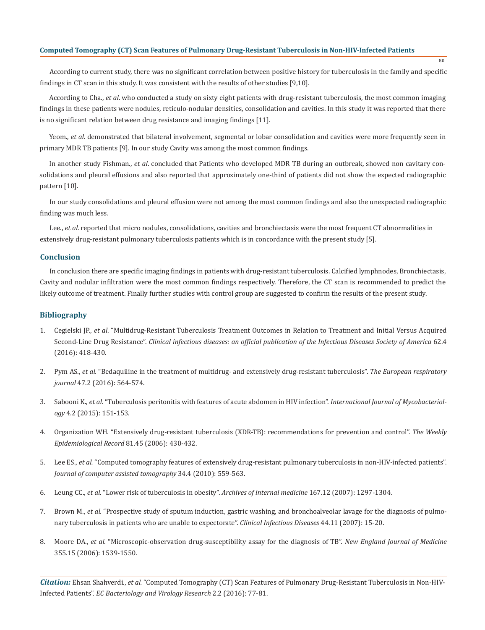## **Computed Tomography (CT) Scan Features of Pulmonary Drug-Resistant Tuberculosis in Non-HIV-Infected Patients**

According to current study, there was no significant correlation between positive history for tuberculosis in the family and specific findings in CT scan in this study. It was consistent with the results of other studies [9,10].

80

According to Cha., *et al*. who conducted a study on sixty eight patients with drug-resistant tuberculosis, the most common imaging findings in these patients were nodules, reticulo-nodular densities, consolidation and cavities. In this study it was reported that there is no significant relation between drug resistance and imaging findings [11].

Yeom., *et al*. demonstrated that bilateral involvement, segmental or lobar consolidation and cavities were more frequently seen in primary MDR TB patients [9]. In our study Cavity was among the most common findings.

In another study Fishman., *et al*. concluded that Patients who developed MDR TB during an outbreak, showed non cavitary consolidations and pleural effusions and also reported that approximately one-third of patients did not show the expected radiographic pattern [10].

In our study consolidations and pleural effusion were not among the most common findings and also the unexpected radiographic finding was much less.

Lee., *et al.* reported that micro nodules, consolidations, cavities and bronchiectasis were the most frequent CT abnormalities in extensively drug-resistant pulmonary tuberculosis patients which is in concordance with the present study [5].

## **Conclusion**

In conclusion there are specific imaging findings in patients with drug-resistant tuberculosis. Calcified lymphnodes, Bronchiectasis, Cavity and nodular infiltration were the most common findings respectively. Therefore, the CT scan is recommended to predict the likely outcome of treatment. Finally further studies with control group are suggested to confirm the results of the present study.

#### **Bibliography**

- 1. Cegielski JP., *et al*. "Multidrug-Resistant Tuberculosis Treatment Outcomes in Relation to Treatment and Initial Versus Acquired Second-Line Drug Resistance". *Clinical infectious diseases: an official publication of the Infectious Diseases Society of America* 62.4 (2016): 418-430.
- 2. Pym AS., *et al.* "Bedaquiline in the treatment of multidrug- and extensively drug-resistant tuberculosis". *The European respiratory journal* 47.2 (2016): 564-574.
- 3. Sabooni K., *et al*. "Tuberculosis peritonitis with features of acute abdomen in HIV infection". *International Journal of Mycobacteriology* 4.2 (2015): 151-153.
- 4. Organization WH. "Extensively drug-resistant tuberculosis (XDR-TB): recommendations for prevention and control". *The Weekly Epidemiological Record* 81.45 (2006): 430-432.
- 5. Lee ES., *et al.* "Computed tomography features of extensively drug-resistant pulmonary tuberculosis in non-HIV-infected patients". *Journal of computer assisted tomography* 34.4 (2010): 559-563.
- 6. Leung CC., *et al.* "Lower risk of tuberculosis in obesity". *Archives of internal medicine* 167.12 (2007): 1297-1304.
- 7. Brown M., *et al.* "Prospective study of sputum induction, gastric washing, and bronchoalveolar lavage for the diagnosis of pulmonary tuberculosis in patients who are unable to expectorate". *Clinical Infectious Diseases* 44.11 (2007): 15-20.
- 8. Moore DA., *et al.* "Microscopic-observation drug-susceptibility assay for the diagnosis of TB". *New England Journal of Medicine* 355.15 (2006): 1539-1550.

*Citation:* Ehsan Shahverdi., *et al.* "Computed Tomography (CT) Scan Features of Pulmonary Drug-Resistant Tuberculosis in Non-HIV-Infected Patients". *EC Bacteriology and Virology Research* 2.2 (2016): 77-81.